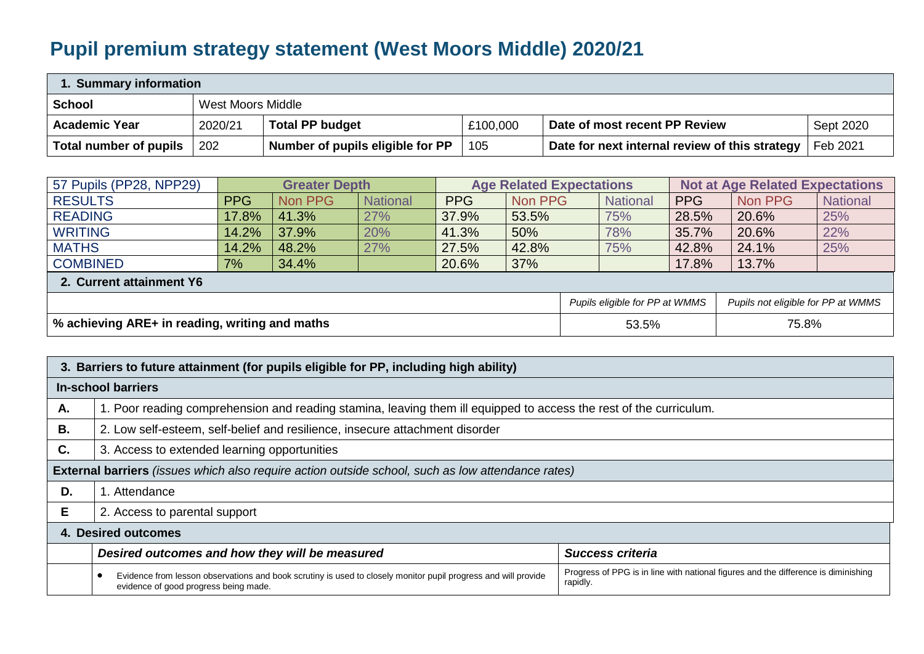## **Pupil premium strategy statement (West Moors Middle) 2020/21**

| 1. Summary information |         |                                  |          |                                                |           |  |  |  |  |
|------------------------|---------|----------------------------------|----------|------------------------------------------------|-----------|--|--|--|--|
| <b>School</b>          |         | West Moors Middle                |          |                                                |           |  |  |  |  |
| <b>Academic Year</b>   | 2020/21 | <b>Total PP budget</b>           | £100,000 | Date of most recent PP Review                  | Sept 2020 |  |  |  |  |
| Total number of pupils | 202     | Number of pupils eligible for PP | 105      | Date for next internal review of this strategy | Feb 2021  |  |  |  |  |

| 57 Pupils (PP28, NPP29)                        | <b>Greater Depth</b> |         |                 | <b>Age Related Expectations</b> |         |  |                                | <b>Not at Age Related Expectations</b> |                                    |                 |  |
|------------------------------------------------|----------------------|---------|-----------------|---------------------------------|---------|--|--------------------------------|----------------------------------------|------------------------------------|-----------------|--|
| <b>RESULTS</b>                                 | <b>PPG</b>           | Non PPG | <b>National</b> | PPG                             | Non PPG |  | <b>National</b>                | <b>PPG</b>                             | Non PPG                            | <b>National</b> |  |
| <b>READING</b>                                 | 17.8%                | 41.3%   | 27%             | 37.9%                           | 53.5%   |  | 75%                            | 28.5%                                  | 20.6%                              | 25%             |  |
| <b>WRITING</b>                                 | 14.2%                | 37.9%   | 20%             | 41.3%                           | 50%     |  | 78%                            | 35.7%                                  | 20.6%                              | 22%             |  |
| <b>MATHS</b>                                   | 14.2%                | 48.2%   | 27%             | 27.5%                           | 42.8%   |  | 75%                            | 42.8%                                  | 24.1%                              | 25%             |  |
| <b>COMBINED</b>                                | 7%                   | 34.4%   |                 | 20.6%                           | 37%     |  |                                | 17.8%                                  | 13.7%                              |                 |  |
| 2. Current attainment Y6                       |                      |         |                 |                                 |         |  |                                |                                        |                                    |                 |  |
|                                                |                      |         |                 |                                 |         |  | Pupils eligible for PP at WMMS |                                        | Pupils not eligible for PP at WMMS |                 |  |
| % achieving ARE+ in reading, writing and maths |                      |         |                 |                                 | 53.5%   |  | 75.8%                          |                                        |                                    |                 |  |

| 3. Barriers to future attainment (for pupils eligible for PP, including high ability) |                                                                                                                                                         |                                                                                                |  |  |  |  |  |  |
|---------------------------------------------------------------------------------------|---------------------------------------------------------------------------------------------------------------------------------------------------------|------------------------------------------------------------------------------------------------|--|--|--|--|--|--|
| In-school barriers                                                                    |                                                                                                                                                         |                                                                                                |  |  |  |  |  |  |
| Α.                                                                                    | 1. Poor reading comprehension and reading stamina, leaving them ill equipped to access the rest of the curriculum.                                      |                                                                                                |  |  |  |  |  |  |
| В.                                                                                    | 2. Low self-esteem, self-belief and resilience, insecure attachment disorder                                                                            |                                                                                                |  |  |  |  |  |  |
| C.                                                                                    | 3. Access to extended learning opportunities                                                                                                            |                                                                                                |  |  |  |  |  |  |
|                                                                                       | External barriers (issues which also require action outside school, such as low attendance rates)                                                       |                                                                                                |  |  |  |  |  |  |
| D.                                                                                    | . Attendance                                                                                                                                            |                                                                                                |  |  |  |  |  |  |
| Е                                                                                     | 2. Access to parental support                                                                                                                           |                                                                                                |  |  |  |  |  |  |
|                                                                                       | 4. Desired outcomes                                                                                                                                     |                                                                                                |  |  |  |  |  |  |
|                                                                                       | Desired outcomes and how they will be measured<br><b>Success criteria</b>                                                                               |                                                                                                |  |  |  |  |  |  |
|                                                                                       | Evidence from lesson observations and book scrutiny is used to closely monitor pupil progress and will provide<br>evidence of good progress being made. | Progress of PPG is in line with national figures and the difference is diminishing<br>rapidly. |  |  |  |  |  |  |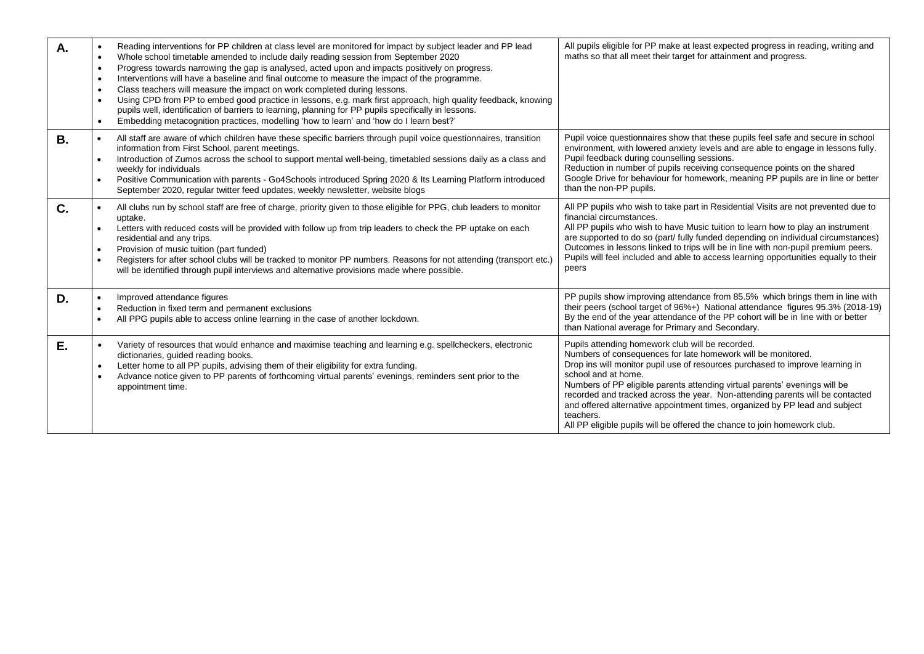| А.        | Reading interventions for PP children at class level are monitored for impact by subject leader and PP lead<br>Whole school timetable amended to include daily reading session from September 2020<br>$\bullet$<br>Progress towards narrowing the gap is analysed, acted upon and impacts positively on progress.<br>$\bullet$<br>Interventions will have a baseline and final outcome to measure the impact of the programme.<br>$\bullet$<br>Class teachers will measure the impact on work completed during lessons.<br>$\bullet$<br>Using CPD from PP to embed good practice in lessons, e.g. mark first approach, high quality feedback, knowing<br>pupils well, identification of barriers to learning, planning for PP pupils specifically in lessons.<br>Embedding metacognition practices, modelling 'how to learn' and 'how do I learn best?' | All pupils eligible for PP make at least expected progress in reading, writing and<br>maths so that all meet their target for attainment and progress.                                                                                                                                                                                                                                                                                                                                                                                                          |
|-----------|---------------------------------------------------------------------------------------------------------------------------------------------------------------------------------------------------------------------------------------------------------------------------------------------------------------------------------------------------------------------------------------------------------------------------------------------------------------------------------------------------------------------------------------------------------------------------------------------------------------------------------------------------------------------------------------------------------------------------------------------------------------------------------------------------------------------------------------------------------|-----------------------------------------------------------------------------------------------------------------------------------------------------------------------------------------------------------------------------------------------------------------------------------------------------------------------------------------------------------------------------------------------------------------------------------------------------------------------------------------------------------------------------------------------------------------|
| <b>B.</b> | All staff are aware of which children have these specific barriers through pupil voice questionnaires, transition<br>$\bullet$<br>information from First School, parent meetings.<br>Introduction of Zumos across the school to support mental well-being, timetabled sessions daily as a class and<br>$\bullet$<br>weekly for individuals<br>Positive Communication with parents - Go4Schools introduced Spring 2020 & Its Learning Platform introduced<br>September 2020, regular twitter feed updates, weekly newsletter, website blogs                                                                                                                                                                                                                                                                                                              | Pupil voice questionnaires show that these pupils feel safe and secure in school<br>environment, with lowered anxiety levels and are able to engage in lessons fully.<br>Pupil feedback during counselling sessions.<br>Reduction in number of pupils receiving consequence points on the shared<br>Google Drive for behaviour for homework, meaning PP pupils are in line or better<br>than the non-PP pupils.                                                                                                                                                 |
| C.        | All clubs run by school staff are free of charge, priority given to those eligible for PPG, club leaders to monitor<br>uptake.<br>Letters with reduced costs will be provided with follow up from trip leaders to check the PP uptake on each<br>$\bullet$<br>residential and any trips.<br>Provision of music tuition (part funded)<br>$\bullet$<br>Registers for after school clubs will be tracked to monitor PP numbers. Reasons for not attending (transport etc.)<br>$\bullet$<br>will be identified through pupil interviews and alternative provisions made where possible.                                                                                                                                                                                                                                                                     | All PP pupils who wish to take part in Residential Visits are not prevented due to<br>financial circumstances.<br>All PP pupils who wish to have Music tuition to learn how to play an instrument<br>are supported to do so (part/ fully funded depending on individual circumstances)<br>Outcomes in lessons linked to trips will be in line with non-pupil premium peers.<br>Pupils will feel included and able to access learning opportunities equally to their<br>peers                                                                                    |
| D.        | Improved attendance figures<br>$\bullet$<br>Reduction in fixed term and permanent exclusions<br>$\bullet$<br>All PPG pupils able to access online learning in the case of another lockdown.<br>$\bullet$                                                                                                                                                                                                                                                                                                                                                                                                                                                                                                                                                                                                                                                | PP pupils show improving attendance from 85.5% which brings them in line with<br>their peers (school target of 96%+) National attendance figures 95.3% (2018-19)<br>By the end of the year attendance of the PP cohort will be in line with or better<br>than National average for Primary and Secondary.                                                                                                                                                                                                                                                       |
| Е.        | Variety of resources that would enhance and maximise teaching and learning e.g. spellcheckers, electronic<br>dictionaries, guided reading books.<br>Letter home to all PP pupils, advising them of their eligibility for extra funding.<br>$\bullet$<br>Advance notice given to PP parents of forthcoming virtual parents' evenings, reminders sent prior to the<br>appointment time.                                                                                                                                                                                                                                                                                                                                                                                                                                                                   | Pupils attending homework club will be recorded.<br>Numbers of consequences for late homework will be monitored.<br>Drop ins will monitor pupil use of resources purchased to improve learning in<br>school and at home.<br>Numbers of PP eligible parents attending virtual parents' evenings will be<br>recorded and tracked across the year. Non-attending parents will be contacted<br>and offered alternative appointment times, organized by PP lead and subject<br>teachers.<br>All PP eligible pupils will be offered the chance to join homework club. |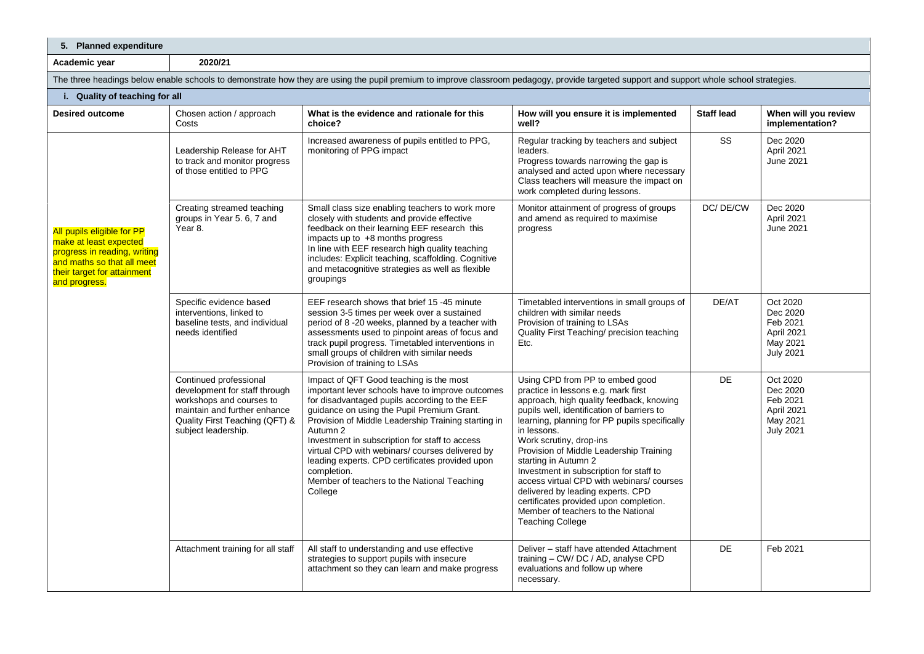| 5. Planned expenditure                                                                                                                                                                   |                                                                                                           |                                                                                                                                                                                                                                                                                                                                                                                                                                                                                               |                                                                                                                                                                                                                                                                                                                                                                                                                                                                                                                                                                       |                   |                                                                                |  |  |  |  |
|------------------------------------------------------------------------------------------------------------------------------------------------------------------------------------------|-----------------------------------------------------------------------------------------------------------|-----------------------------------------------------------------------------------------------------------------------------------------------------------------------------------------------------------------------------------------------------------------------------------------------------------------------------------------------------------------------------------------------------------------------------------------------------------------------------------------------|-----------------------------------------------------------------------------------------------------------------------------------------------------------------------------------------------------------------------------------------------------------------------------------------------------------------------------------------------------------------------------------------------------------------------------------------------------------------------------------------------------------------------------------------------------------------------|-------------------|--------------------------------------------------------------------------------|--|--|--|--|
| 2020/21<br>Academic year                                                                                                                                                                 |                                                                                                           |                                                                                                                                                                                                                                                                                                                                                                                                                                                                                               |                                                                                                                                                                                                                                                                                                                                                                                                                                                                                                                                                                       |                   |                                                                                |  |  |  |  |
| The three headings below enable schools to demonstrate how they are using the pupil premium to improve classroom pedagogy, provide targeted support and support whole school strategies. |                                                                                                           |                                                                                                                                                                                                                                                                                                                                                                                                                                                                                               |                                                                                                                                                                                                                                                                                                                                                                                                                                                                                                                                                                       |                   |                                                                                |  |  |  |  |
| i. Quality of teaching for all                                                                                                                                                           |                                                                                                           |                                                                                                                                                                                                                                                                                                                                                                                                                                                                                               |                                                                                                                                                                                                                                                                                                                                                                                                                                                                                                                                                                       |                   |                                                                                |  |  |  |  |
| <b>Desired outcome</b>                                                                                                                                                                   | Chosen action / approach<br>Costs                                                                         | What is the evidence and rationale for this<br>choice?                                                                                                                                                                                                                                                                                                                                                                                                                                        | How will you ensure it is implemented<br>well?                                                                                                                                                                                                                                                                                                                                                                                                                                                                                                                        | <b>Staff lead</b> | When will you review<br>implementation?                                        |  |  |  |  |
|                                                                                                                                                                                          | Leadership Release for AHT<br>to track and monitor progress<br>of those entitled to PPG                   | Increased awareness of pupils entitled to PPG,<br>Regular tracking by teachers and subject<br>monitoring of PPG impact<br>leaders.<br>Progress towards narrowing the gap is<br>analysed and acted upon where necessary<br>Class teachers will measure the impact on<br>work completed during lessons.                                                                                                                                                                                         |                                                                                                                                                                                                                                                                                                                                                                                                                                                                                                                                                                       | SS                | Dec 2020<br>April 2021<br>June 2021                                            |  |  |  |  |
| All pupils eligible for PP<br>make at least expected<br>progress in reading, writing<br>and maths so that all meet<br>their target for attainment<br>and progress.                       | Creating streamed teaching<br>groups in Year 5. 6, 7 and<br>Year 8.                                       | Small class size enabling teachers to work more<br>closely with students and provide effective<br>feedback on their learning EEF research this<br>impacts up to $+8$ months progress<br>In line with EEF research high quality teaching<br>includes: Explicit teaching, scaffolding. Cognitive<br>and metacognitive strategies as well as flexible<br>groupings                                                                                                                               | Monitor attainment of progress of groups<br>and amend as required to maximise<br>progress                                                                                                                                                                                                                                                                                                                                                                                                                                                                             | DC/DE/CW          | Dec 2020<br>April 2021<br>June 2021                                            |  |  |  |  |
|                                                                                                                                                                                          | Specific evidence based<br>interventions, linked to<br>baseline tests, and individual<br>needs identified | EEF research shows that brief 15 -45 minute<br>session 3-5 times per week over a sustained<br>period of 8 -20 weeks, planned by a teacher with<br>assessments used to pinpoint areas of focus and<br>track pupil progress. Timetabled interventions in<br>small groups of children with similar needs<br>Provision of training to LSAs                                                                                                                                                        | Timetabled interventions in small groups of<br>children with similar needs<br>Provision of training to LSAs<br>Quality First Teaching/ precision teaching<br>Etc.                                                                                                                                                                                                                                                                                                                                                                                                     | DE/AT             | Oct 2020<br>Dec 2020<br>Feb 2021<br>April 2021<br>May 2021<br><b>July 2021</b> |  |  |  |  |
| Continued professional<br>development for staff through<br>workshops and courses to<br>maintain and further enhance<br>Quality First Teaching (QFT) &<br>subject leadership.             |                                                                                                           | Impact of QFT Good teaching is the most<br>important lever schools have to improve outcomes<br>for disadvantaged pupils according to the EEF<br>guidance on using the Pupil Premium Grant.<br>Provision of Middle Leadership Training starting in<br>Autumn 2<br>Investment in subscription for staff to access<br>virtual CPD with webinars/courses delivered by<br>leading experts. CPD certificates provided upon<br>completion.<br>Member of teachers to the National Teaching<br>College | Using CPD from PP to embed good<br>practice in lessons e.g. mark first<br>approach, high quality feedback, knowing<br>pupils well, identification of barriers to<br>learning, planning for PP pupils specifically<br>in lessons.<br>Work scrutiny, drop-ins<br>Provision of Middle Leadership Training<br>starting in Autumn 2<br>Investment in subscription for staff to<br>access virtual CPD with webinars/courses<br>delivered by leading experts. CPD<br>certificates provided upon completion.<br>Member of teachers to the National<br><b>Teaching College</b> | <b>DE</b>         | Oct 2020<br>Dec 2020<br>Feb 2021<br>April 2021<br>May 2021<br><b>July 2021</b> |  |  |  |  |
|                                                                                                                                                                                          | Attachment training for all staff                                                                         | All staff to understanding and use effective<br>strategies to support pupils with insecure<br>attachment so they can learn and make progress                                                                                                                                                                                                                                                                                                                                                  | Deliver - staff have attended Attachment<br>training - CW/ DC / AD, analyse CPD<br>evaluations and follow up where<br>necessary.                                                                                                                                                                                                                                                                                                                                                                                                                                      | <b>DE</b>         | Feb 2021                                                                       |  |  |  |  |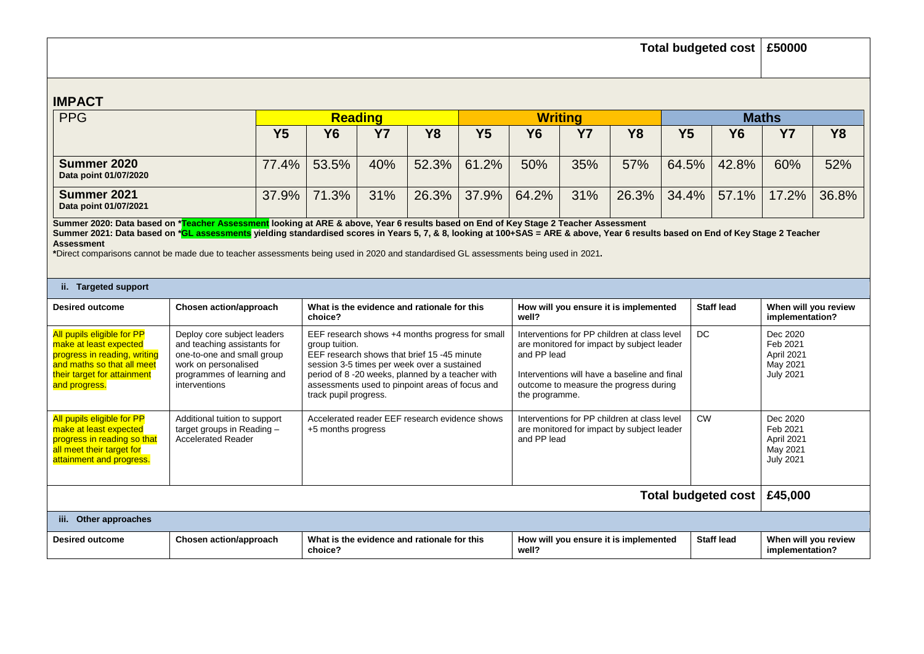| <b>Total budgeted cost</b>                                                                                                                                                                                                                                                                                                                                                                                                                                                            |                                                                                                                                                                 |                                                                                                                                                                                                                                                                                                 |           |                                             |                                                                                                                                                                                                                       |                                                                    | £50000    |                                       |                |                                                                    |                                         |           |
|---------------------------------------------------------------------------------------------------------------------------------------------------------------------------------------------------------------------------------------------------------------------------------------------------------------------------------------------------------------------------------------------------------------------------------------------------------------------------------------|-----------------------------------------------------------------------------------------------------------------------------------------------------------------|-------------------------------------------------------------------------------------------------------------------------------------------------------------------------------------------------------------------------------------------------------------------------------------------------|-----------|---------------------------------------------|-----------------------------------------------------------------------------------------------------------------------------------------------------------------------------------------------------------------------|--------------------------------------------------------------------|-----------|---------------------------------------|----------------|--------------------------------------------------------------------|-----------------------------------------|-----------|
| <b>IMPACT</b>                                                                                                                                                                                                                                                                                                                                                                                                                                                                         |                                                                                                                                                                 |                                                                                                                                                                                                                                                                                                 |           |                                             |                                                                                                                                                                                                                       |                                                                    |           |                                       |                |                                                                    |                                         |           |
| <b>PPG</b>                                                                                                                                                                                                                                                                                                                                                                                                                                                                            |                                                                                                                                                                 | <b>Reading</b>                                                                                                                                                                                                                                                                                  |           |                                             |                                                                                                                                                                                                                       | <b>Writing</b>                                                     |           |                                       |                | <b>Maths</b>                                                       |                                         |           |
|                                                                                                                                                                                                                                                                                                                                                                                                                                                                                       | Y <sub>5</sub>                                                                                                                                                  | <b>Y6</b>                                                                                                                                                                                                                                                                                       | <b>Y7</b> | <b>Y8</b>                                   | Y <sub>5</sub>                                                                                                                                                                                                        | <b>Y6</b>                                                          | <b>Y7</b> | <b>Y8</b>                             | Y <sub>5</sub> | <b>Y6</b>                                                          | <b>Y7</b>                               | <b>Y8</b> |
| Summer 2020<br>Data point 01/07/2020                                                                                                                                                                                                                                                                                                                                                                                                                                                  | 77.4%                                                                                                                                                           | 53.5%                                                                                                                                                                                                                                                                                           | 40%       | 52.3%                                       | 61.2%                                                                                                                                                                                                                 | 50%                                                                | 35%       | 57%                                   | 64.5%          | 42.8%                                                              | 60%                                     | 52%       |
| Summer 2021<br>37.9%<br>Data point 01/07/2021                                                                                                                                                                                                                                                                                                                                                                                                                                         |                                                                                                                                                                 | 71.3%                                                                                                                                                                                                                                                                                           | 31%       | 26.3%                                       | 37.9%                                                                                                                                                                                                                 | 64.2%                                                              | 31%       | 26.3%                                 | 34.4%          | 57.1%                                                              | 17.2%                                   | 36.8%     |
| Summer 2020: Data based on *Teacher Assessment looking at ARE & above, Year 6 results based on End of Key Stage 2 Teacher Assessment<br>Summer 2021: Data based on *GL assessments yielding standardised scores in Years 5, 7, & 8, looking at 100+SAS = ARE & above, Year 6 results based on End of Key Stage 2 Teacher<br><b>Assessment</b><br>*Direct comparisons cannot be made due to teacher assessments being used in 2020 and standardised GL assessments being used in 2021. |                                                                                                                                                                 |                                                                                                                                                                                                                                                                                                 |           |                                             |                                                                                                                                                                                                                       |                                                                    |           |                                       |                |                                                                    |                                         |           |
| ii. Targeted support                                                                                                                                                                                                                                                                                                                                                                                                                                                                  |                                                                                                                                                                 |                                                                                                                                                                                                                                                                                                 |           |                                             |                                                                                                                                                                                                                       |                                                                    |           |                                       |                |                                                                    |                                         |           |
| <b>Desired outcome</b>                                                                                                                                                                                                                                                                                                                                                                                                                                                                | Chosen action/approach                                                                                                                                          | choice?                                                                                                                                                                                                                                                                                         |           | What is the evidence and rationale for this |                                                                                                                                                                                                                       | How will you ensure it is implemented<br>well?                     |           |                                       |                | Staff lead                                                         | When will you review<br>implementation? |           |
| All pupils eligible for PP<br>make at least expected<br>progress in reading, writing<br>and maths so that all meet<br>their target for attainment<br>and progress.                                                                                                                                                                                                                                                                                                                    | Deploy core subject leaders<br>and teaching assistants for<br>one-to-one and small group<br>work on personalised<br>programmes of learning and<br>interventions | EEF research shows +4 months progress for small<br>group tuition.<br>EEF research shows that brief 15 -45 minute<br>session 3-5 times per week over a sustained<br>period of 8 -20 weeks, planned by a teacher with<br>assessments used to pinpoint areas of focus and<br>track pupil progress. |           |                                             | Interventions for PP children at class level<br>are monitored for impact by subject leader<br>and PP lead<br>Interventions will have a baseline and final<br>outcome to measure the progress during<br>the programme. |                                                                    |           |                                       | DC             | Dec 2020<br>Feb 2021<br>April 2021<br>May 2021<br><b>July 2021</b> |                                         |           |
| All pupils eligible for PP<br><b>CW</b><br>Additional tuition to support<br>Accelerated reader EEF research evidence shows<br>Interventions for PP children at class level<br>make at least expected<br>target groups in Reading $-$<br>+5 months progress<br>are monitored for impact by subject leader<br>progress in reading so that<br><b>Accelerated Reader</b><br>and PP lead<br>all meet their target for<br>attainment and progress.                                          |                                                                                                                                                                 |                                                                                                                                                                                                                                                                                                 |           |                                             |                                                                                                                                                                                                                       | Dec 2020<br>Feb 2021<br>April 2021<br>May 2021<br><b>July 2021</b> |           |                                       |                |                                                                    |                                         |           |
| Total budgeted cost                                                                                                                                                                                                                                                                                                                                                                                                                                                                   |                                                                                                                                                                 |                                                                                                                                                                                                                                                                                                 |           |                                             |                                                                                                                                                                                                                       |                                                                    |           |                                       | £45,000        |                                                                    |                                         |           |
| iii. Other approaches                                                                                                                                                                                                                                                                                                                                                                                                                                                                 |                                                                                                                                                                 |                                                                                                                                                                                                                                                                                                 |           |                                             |                                                                                                                                                                                                                       |                                                                    |           |                                       |                |                                                                    |                                         |           |
| <b>Desired outcome</b>                                                                                                                                                                                                                                                                                                                                                                                                                                                                | Chosen action/approach                                                                                                                                          | choice?                                                                                                                                                                                                                                                                                         |           | What is the evidence and rationale for this |                                                                                                                                                                                                                       | well?                                                              |           | How will you ensure it is implemented |                | <b>Staff lead</b>                                                  | When will you review<br>implementation? |           |